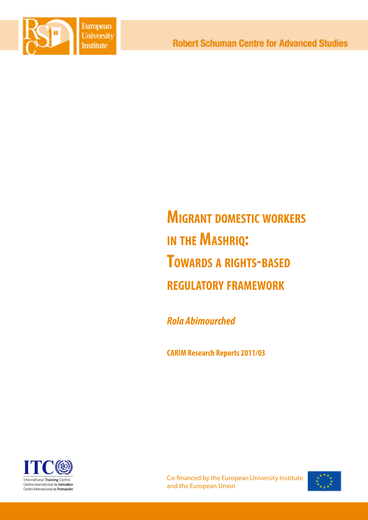

# **Migrant domestic workers in the Mashriq: Towards <sup>a</sup> rights-based regulatory framework**

*Rola Abimourched* 

**CARIM Research Reports 2011/03**



Co-financed by the European University Institute and the European Union

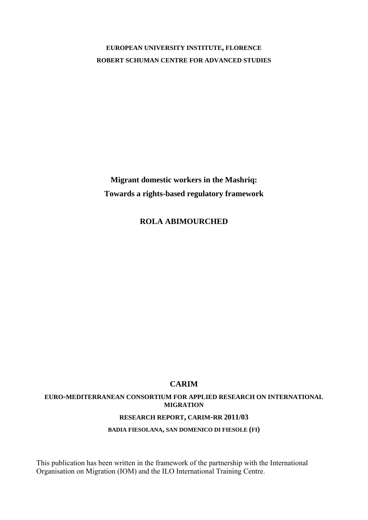# **EUROPEAN UNIVERSITY INSTITUTE, FLORENCE ROBERT SCHUMAN CENTRE FOR ADVANCED STUDIES**

**Migrant domestic workers in the Mashriq: Towards a rights-based regulatory framework**

**ROLA ABIMOURCHED** 

# **CARIM**

# **EURO-MEDITERRANEAN CONSORTIUM FOR APPLIED RESEARCH ON INTERNATIONAL MIGRATION**

# **RESEARCH REPORT, CARIM-RR 2011/03**

# **BADIA FIESOLANA, SAN DOMENICO DI FIESOLE (FI)**

This publication has been written in the framework of the partnership with the International Organisation on Migration (IOM) and the ILO International Training Centre.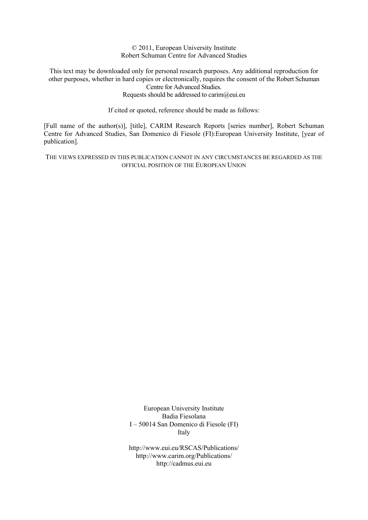© 2011, European University Institute Robert Schuman Centre for Advanced Studies

This text may be downloaded only for personal research purposes. Any additional reproduction for other purposes, whether in hard copies or electronically, requires the consent of the Robert Schuman Centre for Advanced Studies. Requests should be addressed to carim@eui.eu

If cited or quoted, reference should be made as follows:

[Full name of the author(s)], [title], CARIM Research Reports [series number], Robert Schuman Centre for Advanced Studies, San Domenico di Fiesole (FI):European University Institute, [year of publication].

THE VIEWS EXPRESSED IN THIS PUBLICATION CANNOT IN ANY CIRCUMSTANCES BE REGARDED AS THE OFFICIAL POSITION OF THE EUROPEAN UNION

> European University Institute Badia Fiesolana I – 50014 San Domenico di Fiesole (FI) Italy

> http://www.eui.eu/RSCAS/Publications/ http://www.carim.org/Publications/ http://cadmus.eui.eu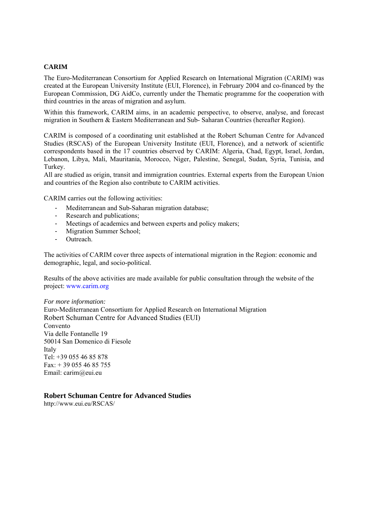### **CARIM**

The Euro-Mediterranean Consortium for Applied Research on International Migration (CARIM) was created at the European University Institute (EUI, Florence), in February 2004 and co-financed by the European Commission, DG AidCo, currently under the Thematic programme for the cooperation with third countries in the areas of migration and asylum.

Within this framework, CARIM aims, in an academic perspective, to observe, analyse, and forecast migration in Southern & Eastern Mediterranean and Sub- Saharan Countries (hereafter Region).

CARIM is composed of a coordinating unit established at the Robert Schuman Centre for Advanced Studies (RSCAS) of the European University Institute (EUI, Florence), and a network of scientific correspondents based in the 17 countries observed by CARIM: Algeria, Chad, Egypt, Israel, Jordan, Lebanon, Libya, Mali, Mauritania, Morocco, Niger, Palestine, Senegal, Sudan, Syria, Tunisia, and Turkey.

All are studied as origin, transit and immigration countries. External experts from the European Union and countries of the Region also contribute to CARIM activities.

CARIM carries out the following activities:

- Mediterranean and Sub-Saharan migration database;
- Research and publications;
- Meetings of academics and between experts and policy makers;
- Migration Summer School;
- Outreach.

The activities of CARIM cover three aspects of international migration in the Region: economic and demographic, legal, and socio-political.

Results of the above activities are made available for public consultation through the website of the project: www.carim.org

#### *For more information:*

Euro-Mediterranean Consortium for Applied Research on International Migration Robert Schuman Centre for Advanced Studies (EUI) Convento Via delle Fontanelle 19 50014 San Domenico di Fiesole Italy Tel: +39 055 46 85 878 Fax: + 39 055 46 85 755 Email: carim@eui.eu

# **Robert Schuman Centre for Advanced Studies**

http://www.eui.eu/RSCAS/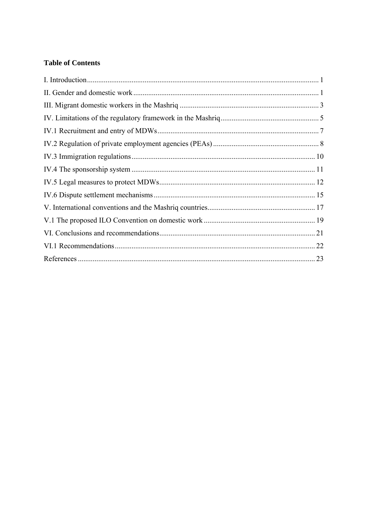# **Table of Contents**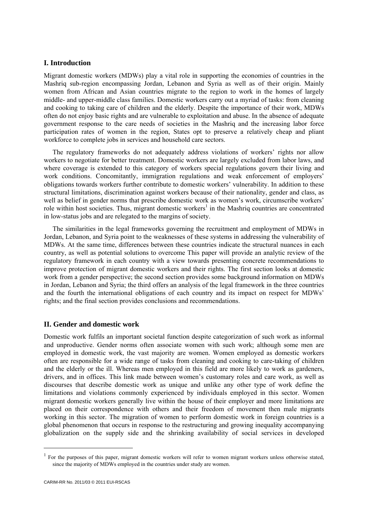# <span id="page-5-0"></span>**I. Introduction**

Migrant domestic workers (MDWs) play a vital role in supporting the economies of countries in the Mashriq sub-region encompassing Jordan, Lebanon and Syria as well as of their origin. Mainly women from African and Asian countries migrate to the region to work in the homes of largely middle- and upper-middle class families. Domestic workers carry out a myriad of tasks: from cleaning and cooking to taking care of children and the elderly. Despite the importance of their work, MDWs often do not enjoy basic rights and are vulnerable to exploitation and abuse. In the absence of adequate government response to the care needs of societies in the Mashriq and the increasing labor force participation rates of women in the region, States opt to preserve a relatively cheap and pliant workforce to complete jobs in services and household care sectors.

The regulatory frameworks do not adequately address violations of workers' rights nor allow workers to negotiate for better treatment. Domestic workers are largely excluded from labor laws, and where coverage is extended to this category of workers special regulations govern their living and work conditions. Concomitantly, immigration regulations and weak enforcement of employers' obligations towards workers further contribute to domestic workers' vulnerability. In addition to these structural limitations, discrimination against workers because of their nationality, gender and class, as well as belief in gender norms that prescribe domestic work as women's work, circumscribe workers' role within host societies. Thus, migrant domestic workers<sup>1</sup> in the Mashriq countries are concentrated in low-status jobs and are relegated to the margins of society.

The similarities in the legal frameworks governing the recruitment and employment of MDWs in Jordan, Lebanon, and Syria point to the weaknesses of these systems in addressing the vulnerability of MDWs. At the same time, differences between these countries indicate the structural nuances in each country, as well as potential solutions to overcome This paper will provide an analytic review of the regulatory framework in each country with a view towards presenting concrete recommendations to improve protection of migrant domestic workers and their rights. The first section looks at domestic work from a gender perspective; the second section provides some background information on MDWs in Jordan, Lebanon and Syria; the third offers an analysis of the legal framework in the three countries and the fourth the international obligations of each country and its impact on respect for MDWs' rights; and the final section provides conclusions and recommendations.

# **II. Gender and domestic work**

Domestic work fulfils an important societal function despite categorization of such work as informal and unproductive. Gender norms often associate women with such work; although some men are employed in domestic work, the vast majority are women. Women employed as domestic workers often are responsible for a wide range of tasks from cleaning and cooking to care-taking of children and the elderly or the ill. Whereas men employed in this field are more likely to work as gardeners, drivers, and in offices. This link made between women's customary roles and care work, as well as discourses that describe domestic work as unique and unlike any other type of work define the limitations and violations commonly experienced by individuals employed in this sector. Women migrant domestic workers generally live within the house of their employer and more limitations are placed on their correspondence with others and their freedom of movement then male migrants working in this sector. The migration of women to perform domestic work in foreign countries is a global phenomenon that occurs in response to the restructuring and growing inequality accompanying globalization on the supply side and the shrinking availability of social services in developed

<sup>&</sup>lt;sup>1</sup> For the purposes of this paper, migrant domestic workers will refer to women migrant workers unless otherwise stated, since the majority of MDWs employed in the countries under study are women.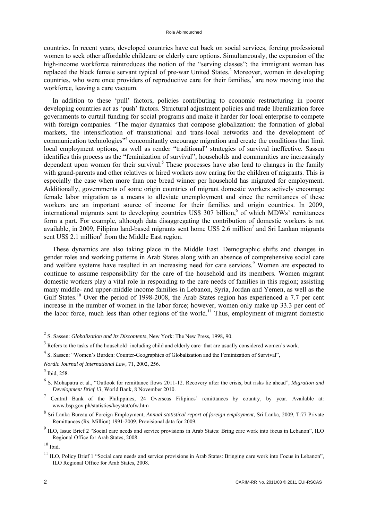countries. In recent years, developed countries have cut back on social services, forcing professional women to seek other affordable childcare or elderly care options. Simultaneously, the expansion of the high-income workforce reintroduces the notion of the "serving classes"; the immigrant woman has replaced the black female servant typical of pre-war United States.<sup>2</sup> Moreover, women in developing countries, who were once providers of reproductive care for their families,<sup>3</sup> are now moving into the workforce, leaving a care vacuum.

In addition to these 'pull' factors, policies contributing to economic restructuring in poorer developing countries act as 'push' factors. Structural adjustment policies and trade liberalization force governments to curtail funding for social programs and make it harder for local enterprise to compete with foreign companies. "The major dynamics that compose globalization: the formation of global markets, the intensification of transnational and trans-local networks and the development of communication technologies"<sup>4</sup> concomitantly encourage migration and create the conditions that limit local employment options, as well as render "traditional" strategies of survival ineffective. Sassen identifies this process as the "feminization of survival"; households and communities are increasingly dependent upon women for their survival.<sup>5</sup> These processes have also lead to changes in the family with grand-parents and other relatives or hired workers now caring for the children of migrants. This is especially the case when more than one bread winner per household has migrated for employment. Additionally, governments of some origin countries of migrant domestic workers actively encourage female labor migration as a means to alleviate unemployment and since the remittances of these workers are an important source of income for their families and origin countries. In 2009, international migrants sent to developing countries US\$ 307 billion,<sup>6</sup> of which MDWs' remittances form a part. For example, although data disaggregating the contribution of domestic workers is not available, in 2009, Filipino land-based migrants sent home US\$ 2.6 million<sup>7</sup> and Sri Lankan migrants sent US\$ 2.1 million<sup>8</sup> from the Middle East region.

These dynamics are also taking place in the Middle East. Demographic shifts and changes in gender roles and working patterns in Arab States along with an absence of comprehensive social care and welfare systems have resulted in an increasing need for care services.<sup>9</sup> Women are expected to continue to assume responsibility for the care of the household and its members. Women migrant domestic workers play a vital role in responding to the care needs of families in this region; assisting many middle- and upper-middle income families in Lebanon, Syria, Jordan and Yemen, as well as the Gulf States.<sup>10</sup> Over the period of 1998-2008, the Arab States region has experienced a 7.7 per cent increase in the number of women in the labor force; however, women only make up 33.3 per cent of the labor force, much less than other regions of the world.<sup>11</sup> Thus, employment of migrant domestic

<sup>2</sup> S. Sassen: *Globalization and Its Discontents*, New York: The New Press, 1998, 90.

 $3$  Refers to the tasks of the household- including child and elderly care- that are usually considered women's work.

<sup>&</sup>lt;sup>4</sup> S. Sassen: "Women's Burden: Counter-Geographies of Globalization and the Feminization of Survival",

*Nordic Journal of International Law,* 71, 2002, 256.

<sup>5</sup> Ibid, 258.

<sup>6</sup> S. Mohapatra et al., "Outlook for remittance flows 2011-12. Recovery after the crisis, but risks lie ahead", *Migration and Development Brief 13*, World Bank, 8 November 2010.

<sup>&</sup>lt;sup>7</sup> Central Bank of the Philippines, 24 Overseas Filipinos' remittances by country, by year. Available at: www.bsp.gov.ph/statistics/keystat/ofw.htm

<sup>8</sup> Sri Lanka Bureau of Foreign Employment, *Annual statistical report of foreign employment*, Sri Lanka, 2009, T:77 Private Remittances (Rs. Million) 1991-2009. Provisional data for 2009.

 $9$  ILO, Issue Brief 2 "Social care needs and service provisions in Arab States: Bring care work into focus in Lebanon", ILO Regional Office for Arab States, 2008.

 $10$  Ibid.

 $11$  ILO, Policy Brief 1 "Social care needs and service provisions in Arab States: Bringing care work into Focus in Lebanon". ILO Regional Office for Arab States, 2008.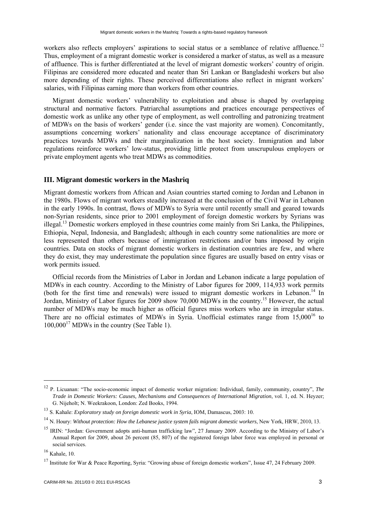<span id="page-7-0"></span>workers also reflects employers' aspirations to social status or a semblance of relative affluence.<sup>12</sup> Thus, employment of a migrant domestic worker is considered a marker of status, as well as a measure of affluence. This is further differentiated at the level of migrant domestic workers' country of origin. Filipinas are considered more educated and neater than Sri Lankan or Bangladeshi workers but also more depending of their rights. These perceived differentiations also reflect in migrant workers' salaries, with Filipinas earning more than workers from other countries.

Migrant domestic workers' vulnerability to exploitation and abuse is shaped by overlapping structural and normative factors. Patriarchal assumptions and practices encourage perspectives of domestic work as unlike any other type of employment, as well controlling and patronizing treatment of MDWs on the basis of workers' gender (i.e. since the vast majority are women). Concomitantly, assumptions concerning workers' nationality and class encourage acceptance of discriminatory practices towards MDWs and their marginalization in the host society. Immigration and labor regulations reinforce workers' low-status, providing little protect from unscrupulous employers or private employment agents who treat MDWs as commodities.

#### **III. Migrant domestic workers in the Mashriq**

Migrant domestic workers from African and Asian countries started coming to Jordan and Lebanon in the 1980s. Flows of migrant workers steadily increased at the conclusion of the Civil War in Lebanon in the early 1990s. In contrast, flows of MDWs to Syria were until recently small and geared towards non-Syrian residents, since prior to 2001 employment of foreign domestic workers by Syrians was illegal.13 Domestic workers employed in these countries come mainly from Sri Lanka, the Philippines, Ethiopia, Nepal, Indonesia, and Bangladesh; although in each country some nationalities are more or less represented than others because of immigration restrictions and/or bans imposed by origin countries. Data on stocks of migrant domestic workers in destination countries are few, and where they do exist, they may underestimate the population since figures are usually based on entry visas or work permits issued.

Official records from the Ministries of Labor in Jordan and Lebanon indicate a large population of MDWs in each country. According to the Ministry of Labor figures for 2009, 114,933 work permits (both for the first time and renewals) were issued to migrant domestic workers in Lebanon.<sup>14</sup> In Jordan, Ministry of Labor figures for 2009 show 70,000 MDWs in the country.15 However, the actual number of MDWs may be much higher as official figures miss workers who are in irregular status. There are no official estimates of MDWs in Syria. Unofficial estimates range from 15,000<sup>16</sup> to  $100,000^{17}$  MDWs in the country (See Table 1).

<sup>12</sup> P. Licuanan: "The socio-economic impact of domestic worker migration: Individual, family, community, country", *The Trade in Domestic Workers: Causes, Mechanisms and Consequences of International Migration*, vol. 1, ed. N. Heyzer; G. Nijeholt; N. Weekrakoon, London: Zed Books, 1994.

<sup>13</sup> S. Kahale: *Exploratory study on foreign domestic work in Syria*, IOM, Damascus, 2003: 10.

<sup>14</sup> N. Houry: *Without protection: How the Lebanese justice system fails migrant domestic workers*, New York, HRW, 2010, 13.

<sup>&</sup>lt;sup>15</sup> IRIN: "Jordan: Government adopts anti-human trafficking law", 27 January 2009. According to the Ministry of Labor's Annual Report for 2009, about 26 percent (85, 807) of the registered foreign labor force was employed in personal or social services.

 $16$  Kahale, 10.

<sup>&</sup>lt;sup>17</sup> Institute for War & Peace Reporting, Syria: "Growing abuse of foreign domestic workers", Issue 47, 24 February 2009.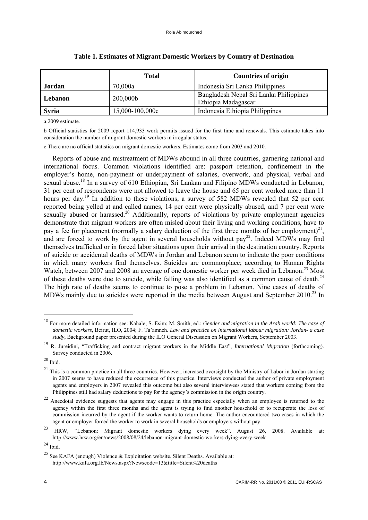|              | <b>Total</b>    | <b>Countries of origin</b>                                    |  |
|--------------|-----------------|---------------------------------------------------------------|--|
| Jordan       | 70,000a         | Indonesia Sri Lanka Philippines                               |  |
| Lebanon      | 200,000b        | Bangladesh Nepal Sri Lanka Philippines<br>Ethiopia Madagascar |  |
| <b>Syria</b> | 15,000-100,000c | Indonesia Ethiopia Philippines                                |  |

#### **Table 1. Estimates of Migrant Domestic Workers by Country of Destination**

a 2009 estimate.

b Official statistics for 2009 report 114,933 work permits issued for the first time and renewals. This estimate takes into consideration the number of migrant domestic workers in irregular status.

c There are no official statistics on migrant domestic workers. Estimates come from 2003 and 2010.

Reports of abuse and mistreatment of MDWs abound in all three countries, garnering national and international focus. Common violations identified are: passport retention, confinement in the employer's home, non-payment or underpayment of salaries, overwork, and physical, verbal and sexual abuse.<sup>18</sup> In a survey of 610 Ethiopian, Sri Lankan and Filipino MDWs conducted in Lebanon, 31 per cent of respondents were not allowed to leave the house and 65 per cent worked more than 11 hours per day.<sup>19</sup> In addition to these violations, a survey of 582 MDWs revealed that 52 per cent reported being yelled at and called names, 14 per cent were physically abused, and 7 per cent were sexually abused or harassed.<sup>20</sup> Additionally, reports of violations by private employment agencies demonstrate that migrant workers are often misled about their living and working conditions, have to pay a fee for placement (normally a salary deduction of the first three months of her employment)<sup>21</sup>, and are forced to work by the agent in several households without  $pay^{22}$ . Indeed MDWs may find themselves trafficked or in forced labor situations upon their arrival in the destination country. Reports of suicide or accidental deaths of MDWs in Jordan and Lebanon seem to indicate the poor conditions in which many workers find themselves. Suicides are commonplace; according to Human Rights Watch, between 2007 and 2008 an average of one domestic worker per week died in Lebanon.<sup>23</sup> Most of these deaths were due to suicide, while falling was also identified as a common cause of death.<sup>24</sup> The high rate of deaths seems to continue to pose a problem in Lebanon. Nine cases of deaths of MDWs mainly due to suicides were reported in the media between August and September 2010.<sup>25</sup> In

<sup>18</sup> For more detailed information see: Kahale; S. Esim; M. Smith, ed.: *Gender and migration in the Arab world: The case of domestic workers*, Beirut, ILO, 2004; F. Ta'amneh. *Law and practice on international labour migration: Jordan- a case study*, Background paper presented during the ILO General Discussion on Migrant Workers, September 2003.

<sup>19</sup> R. Jureidini, "Trafficking and contract migrant workers in the Middle East", *International Migration* (forthcoming). Survey conducted in 2006.

 $20$  Ibid.

 $21$  This is a common practice in all three countries. However, increased oversight by the Ministry of Labor in Jordan starting in 2007 seems to have reduced the occurrence of this practice. Interviews conducted the author of private employment agents and employers in 2007 revealed this outcome but also several interviewees stated that workers coming from the Philippines still had salary deductions to pay for the agency's commission in the origin country.

<sup>&</sup>lt;sup>22</sup> Anecdotal evidence suggests that agents may engage in this practice especially when an employee is returned to the agency within the first three months and the agent is trying to find another household or to recuperate the loss of commission incurred by the agent if the worker wants to return home. The author encountered two cases in which the agent or employer forced the worker to work in several households or employers without pay.

<sup>23</sup> HRW, "Lebanon: Migrant domestic workers dying every week", August 26, 2008. Available at: http://www.hrw.org/en/news/2008/08/24/lebanon-migrant-domestic-workers-dying-every-week

 $24$  Ibid.

<sup>&</sup>lt;sup>25</sup> See KAFA (enough) Violence & Exploitation website. Silent Deaths. Available at: http://www.kafa.org.lb/News.aspx?Newscode=13&title=Silent%20deaths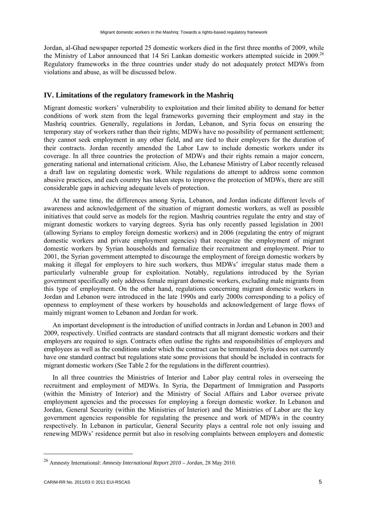<span id="page-9-0"></span>Jordan, al-Ghad newspaper reported 25 domestic workers died in the first three months of 2009, while the Ministry of Labor announced that 14 Sri Lankan domestic workers attempted suicide in 2009.<sup>26</sup> Regulatory frameworks in the three countries under study do not adequately protect MDWs from violations and abuse, as will be discussed below.

#### **IV. Limitations of the regulatory framework in the Mashriq**

Migrant domestic workers' vulnerability to exploitation and their limited ability to demand for better conditions of work stem from the legal frameworks governing their employment and stay in the Mashriq countries. Generally, regulations in Jordan, Lebanon, and Syria focus on ensuring the temporary stay of workers rather than their rights; MDWs have no possibility of permanent settlement; they cannot seek employment in any other field, and are tied to their employers for the duration of their contracts. Jordan recently amended the Labor Law to include domestic workers under its coverage. In all three countries the protection of MDWs and their rights remain a major concern, generating national and international criticism. Also, the Lebanese Ministry of Labor recently released a draft law on regulating domestic work. While regulations do attempt to address some common abusive practices, and each country has taken steps to improve the protection of MDWs, there are still considerable gaps in achieving adequate levels of protection.

At the same time, the differences among Syria, Lebanon, and Jordan indicate different levels of awareness and acknowledgement of the situation of migrant domestic workers, as well as possible initiatives that could serve as models for the region. Mashriq countries regulate the entry and stay of migrant domestic workers to varying degrees. Syria has only recently passed legislation in 2001 (allowing Syrians to employ foreign domestic workers) and in 2006 (regulating the entry of migrant domestic workers and private employment agencies) that recognize the employment of migrant domestic workers by Syrian households and formalize their recruitment and employment. Prior to 2001, the Syrian government attempted to discourage the employment of foreign domestic workers by making it illegal for employers to hire such workers, thus MDWs' irregular status made them a particularly vulnerable group for exploitation. Notably, regulations introduced by the Syrian government specifically only address female migrant domestic workers, excluding male migrants from this type of employment. On the other hand, regulations concerning migrant domestic workers in Jordan and Lebanon were introduced in the late 1990s and early 2000s corresponding to a policy of openness to employment of these workers by households and acknowledgement of large flows of mainly migrant women to Lebanon and Jordan for work.

An important development is the introduction of unified contracts in Jordan and Lebanon in 2003 and 2009, respectively. Unified contracts are standard contracts that all migrant domestic workers and their employers are required to sign. Contracts often outline the rights and responsibilities of employers and employees as well as the conditions under which the contract can be terminated. Syria does not currently have one standard contract but regulations state some provisions that should be included in contracts for migrant domestic workers (See Table 2 for the regulations in the different countries).

In all three countries the Ministries of Interior and Labor play central roles in overseeing the recruitment and employment of MDWs. In Syria, the Department of Immigration and Passports (within the Ministry of Interior) and the Ministry of Social Affairs and Labor oversee private employment agencies and the processes for employing a foreign domestic worker. In Lebanon and Jordan, General Security (within the Ministries of Interior) and the Ministries of Labor are the key government agencies responsible for regulating the presence and work of MDWs in the country respectively. In Lebanon in particular, General Security plays a central role not only issuing and renewing MDWs' residence permit but also in resolving complaints between employers and domestic

<sup>26</sup> Amnesty International: *Amnesty International Report 2010 – Jordan*, 28 May 2010.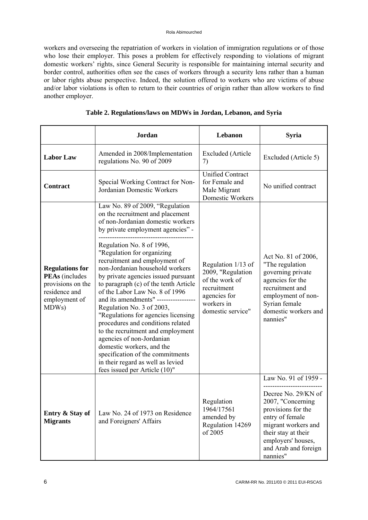workers and overseeing the repatriation of workers in violation of immigration regulations or of those who lose their employer. This poses a problem for effectively responding to violations of migrant domestic workers' rights, since General Security is responsible for maintaining internal security and border control, authorities often see the cases of workers through a security lens rather than a human or labor rights abuse perspective. Indeed, the solution offered to workers who are victims of abuse and/or labor violations is often to return to their countries of origin rather than allow workers to find another employer.

|                                                                                                                 | Jordan                                                                                                                                                                                                                                                                                                                                                                                                                                                                                                                                                                                                                                                                                                          | Lebanon                                                                                                                     | <b>Syria</b>                                                                                                                                                                              |
|-----------------------------------------------------------------------------------------------------------------|-----------------------------------------------------------------------------------------------------------------------------------------------------------------------------------------------------------------------------------------------------------------------------------------------------------------------------------------------------------------------------------------------------------------------------------------------------------------------------------------------------------------------------------------------------------------------------------------------------------------------------------------------------------------------------------------------------------------|-----------------------------------------------------------------------------------------------------------------------------|-------------------------------------------------------------------------------------------------------------------------------------------------------------------------------------------|
| <b>Labor Law</b>                                                                                                | Amended in 2008/Implementation<br>regulations No. 90 of 2009                                                                                                                                                                                                                                                                                                                                                                                                                                                                                                                                                                                                                                                    | <b>Excluded</b> (Article<br>7)                                                                                              | Excluded (Article 5)                                                                                                                                                                      |
| <b>Contract</b>                                                                                                 | Special Working Contract for Non-<br>Jordanian Domestic Workers                                                                                                                                                                                                                                                                                                                                                                                                                                                                                                                                                                                                                                                 | <b>Unified Contract</b><br>for Female and<br>Male Migrant<br>Domestic Workers                                               | No unified contract                                                                                                                                                                       |
| <b>Regulations for</b><br><b>PEAs</b> (includes<br>provisions on the<br>residence and<br>employment of<br>MDWs) | Law No. 89 of 2009, "Regulation<br>on the recruitment and placement<br>of non-Jordanian domestic workers<br>by private employment agencies" -<br>Regulation No. 8 of 1996,<br>"Regulation for organizing<br>recruitment and employment of<br>non-Jordanian household workers<br>by private agencies issued pursuant<br>to paragraph (c) of the tenth Article<br>of the Labor Law No. 8 of 1996<br>and its amendments" --------<br>Regulation No. 3 of 2003,<br>"Regulations for agencies licensing<br>procedures and conditions related<br>to the recruitment and employment<br>agencies of non-Jordanian<br>domestic workers, and the<br>specification of the commitments<br>in their regard as well as levied | Regulation 1/13 of<br>2009, "Regulation<br>of the work of<br>recruitment<br>agencies for<br>workers in<br>domestic service" | Act No. 81 of 2006,<br>"The regulation<br>governing private<br>agencies for the<br>recruitment and<br>employment of non-<br>Syrian female<br>domestic workers and<br>nannies"             |
|                                                                                                                 | fees issued per Article (10)"                                                                                                                                                                                                                                                                                                                                                                                                                                                                                                                                                                                                                                                                                   |                                                                                                                             | Law No. 91 of 1959 -                                                                                                                                                                      |
| Entry & Stay of<br><b>Migrants</b>                                                                              | Law No. 24 of 1973 on Residence<br>and Foreigners' Affairs                                                                                                                                                                                                                                                                                                                                                                                                                                                                                                                                                                                                                                                      | Regulation<br>1964/17561<br>amended by<br>Regulation 14269<br>of 2005                                                       | Decree No. 29/KN of<br>2007, "Concerning<br>provisions for the<br>entry of female<br>migrant workers and<br>their stay at their<br>employers' houses,<br>and Arab and foreign<br>nannies" |

# **Table 2. Regulations/laws on MDWs in Jordan, Lebanon, and Syria**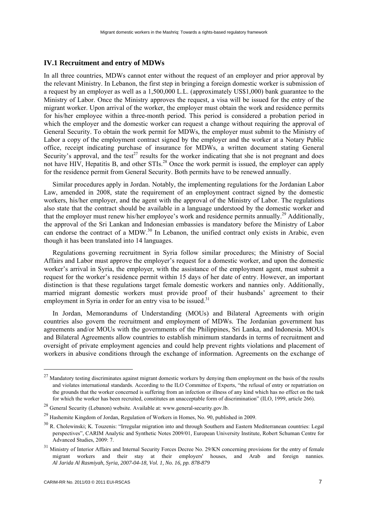## <span id="page-11-0"></span>**IV.1 Recruitment and entry of MDWs**

In all three countries, MDWs cannot enter without the request of an employer and prior approval by the relevant Ministry. In Lebanon, the first step in bringing a foreign domestic worker is submission of a request by an employer as well as a 1,500,000 L.L. (approximately US\$1,000) bank guarantee to the Ministry of Labor. Once the Ministry approves the request, a visa will be issued for the entry of the migrant worker. Upon arrival of the worker, the employer must obtain the work and residence permits for his/her employee within a three-month period. This period is considered a probation period in which the employer and the domestic worker can request a change without requiring the approval of General Security. To obtain the work permit for MDWs, the employer must submit to the Ministry of Labor a copy of the employment contract signed by the employer and the worker at a Notary Public office, receipt indicating purchase of insurance for MDWs, a written document stating General Security's approval, and the test<sup>27</sup> results for the worker indicating that she is not pregnant and does not have HIV, Hepatitis B, and other STIs.<sup>28</sup> Once the work permit is issued, the employer can apply for the residence permit from General Security. Both permits have to be renewed annually.

Similar procedures apply in Jordan. Notably, the implementing regulations for the Jordanian Labor Law, amended in 2008, state the requirement of an employment contract signed by the domestic workers, his/her employer, and the agent with the approval of the Ministry of Labor. The regulations also state that the contract should be available in a language understood by the domestic worker and that the employer must renew his/her employee's work and residence permits annually.<sup>29</sup> Additionally, the approval of the Sri Lankan and Indonesian embassies is mandatory before the Ministry of Labor can endorse the contract of a MDW.<sup>30</sup> In Lebanon, the unified contract only exists in Arabic, even though it has been translated into 14 languages.

Regulations governing recruitment in Syria follow similar procedures; the Ministry of Social Affairs and Labor must approve the employer's request for a domestic worker, and upon the domestic worker's arrival in Syria, the employer, with the assistance of the employment agent, must submit a request for the worker's residence permit within 15 days of her date of entry. However, an important distinction is that these regulations target female domestic workers and nannies only. Additionally, married migrant domestic workers must provide proof of their husbands' agreement to their employment in Syria in order for an entry visa to be issued.<sup>31</sup>

In Jordan, Memorandums of Understanding (MOUs) and Bilateral Agreements with origin countries also govern the recruitment and employment of MDWs. The Jordanian government has agreements and/or MOUs with the governments of the Philippines, Sri Lanka, and Indonesia. MOUs and Bilateral Agreements allow countries to establish minimum standards in terms of recruitment and oversight of private employment agencies and could help prevent rights violations and placement of workers in abusive conditions through the exchange of information. Agreements on the exchange of

 $27$  Mandatory testing discriminates against migrant domestic workers by denying them employment on the basis of the results and violates international standards. According to the ILO Committee of Experts, "the refusal of entry or repatriation on the grounds that the worker concerned is suffering from an infection or illness of any kind which has no effect on the task for which the worker has been recruited, constitutes an unacceptable form of discrimination" (ILO, 1999, article 266).

<sup>28</sup> General Security (Lebanon) website. Available at: www.general-security.gov.lb.

<sup>&</sup>lt;sup>29</sup> Hashemite Kingdom of Jordan, Regulation of Workers in Homes, No. 90, published in 2009.

<sup>&</sup>lt;sup>30</sup> R. Cholewinski; K. Touzenis: "Irregular migration into and through Southern and Eastern Mediterranean countries: Legal perspectives", CARIM Analytic and Synthetic Notes 2009/01, European University Institute, Robert Schuman Centre for Advanced Studies, 2009: 7.

<sup>&</sup>lt;sup>31</sup> Ministry of Interior Affairs and Internal Security Forces Decree No. 29/KN concerning provisions for the entry of female migrant workers and their stay at their employers' houses, and Arab and foreign nannies. *Al Jarida Al Rasmiyah, Syria, 2007-04-18, Vol. 1, No. 16, pp. 878-879*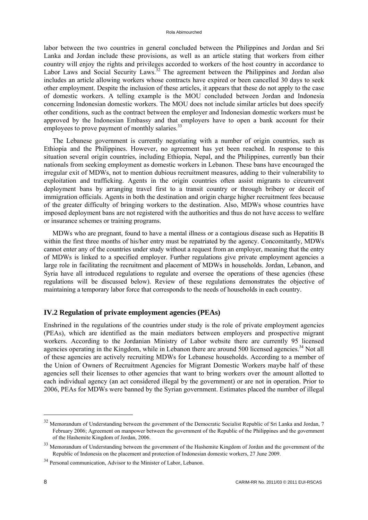<span id="page-12-0"></span>labor between the two countries in general concluded between the Philippines and Jordan and Sri Lanka and Jordan include these provisions, as well as an article stating that workers from either country will enjoy the rights and privileges accorded to workers of the host country in accordance to Labor Laws and Social Security Laws.<sup>32</sup> The agreement between the Philippines and Jordan also includes an article allowing workers whose contracts have expired or been cancelled 30 days to seek other employment. Despite the inclusion of these articles, it appears that these do not apply to the case of domestic workers. A telling example is the MOU concluded between Jordan and Indonesia concerning Indonesian domestic workers. The MOU does not include similar articles but does specify other conditions, such as the contract between the employer and Indonesian domestic workers must be approved by the Indonesian Embassy and that employers have to open a bank account for their employees to prove payment of monthly salaries.<sup>33</sup>

The Lebanese government is currently negotiating with a number of origin countries, such as Ethiopia and the Philippines. However, no agreement has yet been reached. In response to this situation several origin countries, including Ethiopia, Nepal, and the Philippines, currently ban their nationals from seeking employment as domestic workers in Lebanon. These bans have encouraged the irregular exit of MDWs, not to mention dubious recruitment measures, adding to their vulnerability to exploitation and trafficking. Agents in the origin countries often assist migrants to circumvent deployment bans by arranging travel first to a transit country or through bribery or deceit of immigration officials. Agents in both the destination and origin charge higher recruitment fees because of the greater difficulty of bringing workers to the destination. Also, MDWs whose countries have imposed deployment bans are not registered with the authorities and thus do not have access to welfare or insurance schemes or training programs.

MDWs who are pregnant, found to have a mental illness or a contagious disease such as Hepatitis B within the first three months of his/her entry must be repatriated by the agency. Concomitantly, MDWs cannot enter any of the countries under study without a request from an employer, meaning that the entry of MDWs is linked to a specified employer. Further regulations give private employment agencies a large role in facilitating the recruitment and placement of MDWs in households. Jordan, Lebanon, and Syria have all introduced regulations to regulate and oversee the operations of these agencies (these regulations will be discussed below). Review of these regulations demonstrates the objective of maintaining a temporary labor force that corresponds to the needs of households in each country.

#### **IV.2 Regulation of private employment agencies (PEAs)**

Enshrined in the regulations of the countries under study is the role of private employment agencies (PEAs), which are identified as the main mediators between employers and prospective migrant workers. According to the Jordanian Ministry of Labor website there are currently 95 licensed agencies operating in the Kingdom, while in Lebanon there are around 500 licensed agencies.<sup>34</sup> Not all of these agencies are actively recruiting MDWs for Lebanese households. According to a member of the Union of Owners of Recruitment Agencies for Migrant Domestic Workers maybe half of these agencies sell their licenses to other agencies that want to bring workers over the amount allotted to each individual agency (an act considered illegal by the government) or are not in operation. Prior to 2006, PEAs for MDWs were banned by the Syrian government. Estimates placed the number of illegal

<sup>&</sup>lt;sup>32</sup> Memorandum of Understanding between the government of the Democratic Socialist Republic of Sri Lanka and Jordan, 7 February 2006; Agreement on manpower between the government of the Republic of the Philippines and the government of the Hashemite Kingdom of Jordan, 2006.

<sup>&</sup>lt;sup>33</sup> Memorandum of Understanding between the government of the Hashemite Kingdom of Jordan and the government of the Republic of Indonesia on the placement and protection of Indonesian domestic workers, 27 June 2009.

<sup>34</sup> Personal communication, Advisor to the Minister of Labor, Lebanon.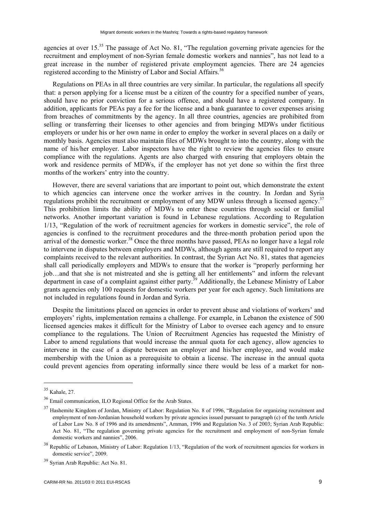agencies at over 15.<sup>35</sup> The passage of Act No. 81, "The regulation governing private agencies for the recruitment and employment of non-Syrian female domestic workers and nannies", has not lead to a great increase in the number of registered private employment agencies. There are 24 agencies registered according to the Ministry of Labor and Social Affairs.<sup>36</sup>

Regulations on PEAs in all three countries are very similar. In particular, the regulations all specify that: a person applying for a license must be a citizen of the country for a specified number of years, should have no prior conviction for a serious offence, and should have a registered company. In addition, applicants for PEAs pay a fee for the license and a bank guarantee to cover expenses arising from breaches of commitments by the agency. In all three countries, agencies are prohibited from selling or transferring their licenses to other agencies and from bringing MDWs under fictitious employers or under his or her own name in order to employ the worker in several places on a daily or monthly basis. Agencies must also maintain files of MDWs brought to into the country, along with the name of his/her employer. Labor inspectors have the right to review the agencies files to ensure compliance with the regulations. Agents are also charged with ensuring that employers obtain the work and residence permits of MDWs, if the employer has not yet done so within the first three months of the workers' entry into the country.

However, there are several variations that are important to point out, which demonstrate the extent to which agencies can intervene once the worker arrives in the country. In Jordan and Syria regulations prohibit the recruitment or employment of any MDW unless through a licensed agency.<sup>37</sup> This prohibition limits the ability of MDWs to enter these countries through social or familial networks. Another important variation is found in Lebanese regulations. According to Regulation 1/13, "Regulation of the work of recruitment agencies for workers in domestic service", the role of agencies is confined to the recruitment procedures and the three-month probation period upon the arrival of the domestic worker.<sup>38</sup> Once the three months have passed, PEAs no longer have a legal role to intervene in disputes between employers and MDWs, although agents are still required to report any complaints received to the relevant authorities. In contrast, the Syrian Act No. 81, states that agencies shall call periodically employers and MDWs to ensure that the worker is "properly performing her job…and that she is not mistreated and she is getting all her entitlements" and inform the relevant department in case of a complaint against either party.<sup>39</sup> Additionally, the Lebanese Ministry of Labor grants agencies only 100 requests for domestic workers per year for each agency. Such limitations are not included in regulations found in Jordan and Syria.

Despite the limitations placed on agencies in order to prevent abuse and violations of workers' and employers' rights, implementation remains a challenge. For example, in Lebanon the existence of 500 licensed agencies makes it difficult for the Ministry of Labor to oversee each agency and to ensure compliance to the regulations. The Union of Recruitment Agencies has requested the Ministry of Labor to amend regulations that would increase the annual quota for each agency, allow agencies to intervene in the case of a dispute between an employer and his/her employee, and would make membership with the Union as a prerequisite to obtain a license. The increase in the annual quota could prevent agencies from operating informally since there would be less of a market for non-

<sup>35</sup> Kahale, 27.

<sup>36</sup> Email communication, ILO Regional Office for the Arab States.

<sup>&</sup>lt;sup>37</sup> Hashemite Kingdom of Jordan, Ministry of Labor: Regulation No. 8 of 1996, "Regulation for organizing recruitment and employment of non-Jordanian household workers by private agencies issued pursuant to paragraph (c) of the tenth Article of Labor Law No. 8 of 1996 and its amendments", Amman, 1996 and Regulation No. 3 of 2003; Syrian Arab Republic: Act No. 81, "The regulation governing private agencies for the recruitment and employment of non-Syrian female domestic workers and nannies", 2006.

<sup>&</sup>lt;sup>38</sup> Republic of Lebanon, Ministry of Labor: Regulation 1/13, "Regulation of the work of recruitment agencies for workers in domestic service", 2009.

<sup>39</sup> Syrian Arab Republic: Act No. 81.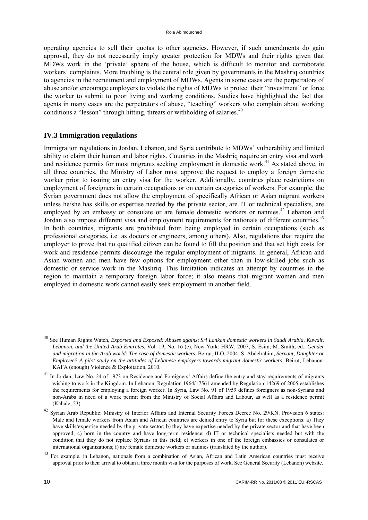<span id="page-14-0"></span>operating agencies to sell their quotas to other agencies. However, if such amendments do gain approval, they do not necessarily imply greater protection for MDWs and their rights given that MDWs work in the 'private' sphere of the house, which is difficult to monitor and corroborate workers' complaints. More troubling is the central role given by governments in the Mashriq countries to agencies in the recruitment and employment of MDWs. Agents in some cases are the perpetrators of abuse and/or encourage employers to violate the rights of MDWs to protect their "investment" or force the worker to submit to poor living and working conditions. Studies have highlighted the fact that agents in many cases are the perpetrators of abuse, "teaching" workers who complain about working conditions a "lesson" through hitting, threats or withholding of salaries.<sup>40</sup>

# **IV.3 Immigration regulations**

Immigration regulations in Jordan, Lebanon, and Syria contribute to MDWs' vulnerability and limited ability to claim their human and labor rights. Countries in the Mashriq require an entry visa and work and residence permits for most migrants seeking employment in domestic work.<sup>41</sup> As stated above, in all three countries, the Ministry of Labor must approve the request to employ a foreign domestic worker prior to issuing an entry visa for the worker. Additionally, countries place restrictions on employment of foreigners in certain occupations or on certain categories of workers. For example, the Syrian government does not allow the employment of specifically African or Asian migrant workers unless he/she has skills or expertise needed by the private sector, are IT or technical specialists, are employed by an embassy or consulate or are female domestic workers or nannies.<sup>42</sup> Lebanon and Jordan also impose different visa and employment requirements for nationals of different countries.<sup>43</sup> In both countries, migrants are prohibited from being employed in certain occupations (such as professional categories, i.e. as doctors or engineers, among others). Also, regulations that require the employer to prove that no qualified citizen can be found to fill the position and that set high costs for work and residence permits discourage the regular employment of migrants. In general, African and Asian women and men have few options for employment other than in low-skilled jobs such as domestic or service work in the Mashriq. This limitation indicates an attempt by countries in the region to maintain a temporary foreign labor force; it also means that migrant women and men employed in domestic work cannot easily seek employment in another field.

<sup>40</sup> See Human Rights Watch, *Exported and Exposed: Abuses against Sri Lankan domestic workers in Saudi Arabia, Kuwait, Lebanon, and the United Arab Emirates*, Vol. 19, No. 16 (c), New York: HRW, 2007; S. Esim; M. Smith, ed.: *Gender and migration in the Arab world: The case of domestic workers*, Beirut, ILO, 2004; S. Abdelrahim, *Servant, Daughter or Employee? A pilot study on the attitudes of Lebanese employers towards migrant domestic workers*, Beirut, Lebanon: KAFA (enough) Violence & Exploitation, 2010.

<sup>&</sup>lt;sup>41</sup> In Jordan, Law No. 24 of 1973 on Residence and Foreigners' Affairs define the entry and stay requirements of migrants wishing to work in the Kingdom. In Lebanon, Regulation 1964/17561 amended by Regulation 14269 of 2005 establishes the requirements for employing a foreign worker. In Syria, Law No. 91 of 1959 defines foreigners as non-Syrians and non-Arabs in need of a work permit from the Ministry of Social Affairs and Labour, as well as a residence permit (Kahale, 23).

<sup>42</sup> Syrian Arab Republic: Ministry of Interior Affairs and Internal Security Forces Decree No. 29/KN. Provision 6 states: Male and female workers from Asian and African countries are denied entry to Syria but for these exceptions: a) They have skills/expertise needed by the private sector; b) they have expertise needed by the private sector and that have been approved; c) born in the country and have long-term residence; d) IT or technical specialists needed but with the condition that they do not replace Syrians in this field; e) workers in one of the foreign embassies or consulates or international organizations; f) are female domestic workers or nannies (translated by the author).

<sup>&</sup>lt;sup>43</sup> For example, in Lebanon, nationals from a combination of Asian, African and Latin American countries must receive approval prior to their arrival to obtain a three month visa for the purposes of work. See General Security (Lebanon) website.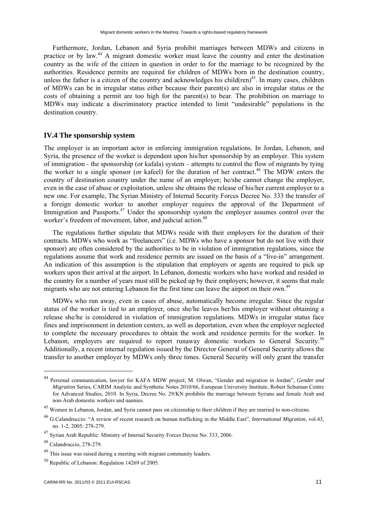<span id="page-15-0"></span>Furthermore, Jordan, Lebanon and Syria prohibit marriages between MDWs and citizens in practice or by law.44 A migrant domestic worker must leave the country and enter the destination country as the wife of the citizen in question in order to for the marriage to be recognized by the authorities. Residence permits are required for children of MDWs born in the destination country, unless the father is a citizen of the country and acknowledges his child(ren)<sup>45</sup>. In many cases, children of MDWs can be in irregular status either because their parent(s) are also in irregular status or the costs of obtaining a permit are too high for the parent(s) to bear. The prohibition on marriage to MDWs may indicate a discriminatory practice intended to limit "undesirable" populations in the destination country.

## **IV.4 The sponsorship system**

The employer is an important actor in enforcing immigration regulations. In Jordan, Lebanon, and Syria, the presence of the worker is dependent upon his/her sponsorship by an employer. This system of immigration - the sponsorship (or kafala) system – attempts to control the flow of migrants by tying the worker to a single sponsor (or kafeel) for the duration of her contract.<sup>46</sup> The MDW enters the country of destination country under the name of an employer; he/she cannot change the employer, even in the case of abuse or exploitation, unless she obtains the release of his/her current employer to a new one. For example, The Syrian Ministry of Internal Security Forces Decree No. 333 the transfer of a foreign domestic worker to another employer requires the approval of the Department of Immigration and Passports.<sup>47</sup> Under the sponsorship system the employer assumes control over the worker's freedom of movement, labor, and judicial action.<sup>48</sup>

The regulations further stipulate that MDWs reside with their employers for the duration of their contracts. MDWs who work as "freelancers" (i.e. MDWs who have a sponsor but do not live with their sponsor) are often considered by the authorities to be in violation of immigration regulations, since the regulations assume that work and residence permits are issued on the basis of a "live-in" arrangement. An indication of this assumption is the stipulation that employers or agents are required to pick up workers upon their arrival at the airport. In Lebanon, domestic workers who have worked and resided in the country for a number of years must still be picked up by their employers; however, it seems that male migrants who are not entering Lebanon for the first time can leave the airport on their own.<sup>49</sup>

MDWs who run away, even in cases of abuse, automatically become irregular. Since the regular status of the worker is tied to an employer, once she/he leaves her/his employer without obtaining a release she/he is considered in violation of immigration regulations. MDWs in irregular status face fines and imprisonment in detention centers, as well as deportation, even when the employer neglected to complete the necessary procedures to obtain the work and residence permits for the worker. In Lebanon, employers are required to report runaway domestic workers to General Security.<sup>50</sup> Additionally, a recent internal regulation issued by the Director General of General Security allows the transfer to another employer by MDWs only three times. General Security will only grant the transfer

<sup>44</sup> Personal communication, lawyer for KAFA MDW project; M. Olwan, "Gender and migration in Jordan", *Gender and Migration* Series, CARIM Analytic and Synthetic Notes 2010/66, European University Institute, Robert Schuman Centre for Advanced Studies, 2010. In Syria, Decree No. 29/KN prohibits the marriage between Syrians and female Arab and non-Arab domestic workers and nannies.

<sup>&</sup>lt;sup>45</sup> Women in Lebanon, Jordan, and Syria cannot pass on citizenship to their children if they are married to non-citizens.

<sup>46</sup> G.Calandruccio: "A review of recent research on human trafficking in the Middle East", *International Migration*, vol.43, no. 1-2, 2005: 278-279.

<sup>47</sup> Syrian Arab Republic: Ministry of Internal Security Forces Decree No. 333, 2006.

<sup>48</sup> Calandruccio, 278-279.

<sup>&</sup>lt;sup>49</sup> This issue was raised during a meeting with migrant community leaders.

 $50$  Republic of Lebanon: Regulation 14269 of 2005.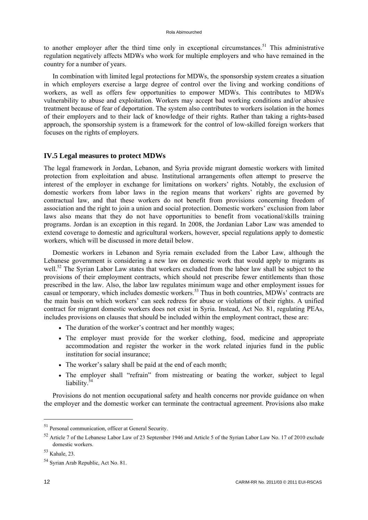<span id="page-16-0"></span>to another employer after the third time only in exceptional circumstances.<sup>51</sup> This administrative regulation negatively affects MDWs who work for multiple employers and who have remained in the country for a number of years.

In combination with limited legal protections for MDWs, the sponsorship system creates a situation in which employers exercise a large degree of control over the living and working conditions of workers, as well as offers few opportunities to empower MDWs. This contributes to MDWs vulnerability to abuse and exploitation. Workers may accept bad working conditions and/or abusive treatment because of fear of deportation. The system also contributes to workers isolation in the homes of their employers and to their lack of knowledge of their rights. Rather than taking a rights-based approach, the sponsorship system is a framework for the control of low-skilled foreign workers that focuses on the rights of employers.

# **IV.5 Legal measures to protect MDWs**

The legal framework in Jordan, Lebanon, and Syria provide migrant domestic workers with limited protection from exploitation and abuse. Institutional arrangements often attempt to preserve the interest of the employer in exchange for limitations on workers' rights. Notably, the exclusion of domestic workers from labor laws in the region means that workers' rights are governed by contractual law, and that these workers do not benefit from provisions concerning freedom of association and the right to join a union and social protection. Domestic workers' exclusion from labor laws also means that they do not have opportunities to benefit from vocational/skills training programs. Jordan is an exception in this regard. In 2008, the Jordanian Labor Law was amended to extend coverage to domestic and agricultural workers, however, special regulations apply to domestic workers, which will be discussed in more detail below.

Domestic workers in Lebanon and Syria remain excluded from the Labor Law, although the Lebanese government is considering a new law on domestic work that would apply to migrants as well.<sup>52</sup> The Syrian Labor Law states that workers excluded from the labor law shall be subject to the provisions of their employment contracts, which should not prescribe fewer entitlements than those prescribed in the law. Also, the labor law regulates minimum wage and other employment issues for casual or temporary, which includes domestic workers.53 Thus in both countries, MDWs' contracts are the main basis on which workers' can seek redress for abuse or violations of their rights. A unified contract for migrant domestic workers does not exist in Syria. Instead, Act No. 81, regulating PEAs, includes provisions on clauses that should be included within the employment contract, these are:

- The duration of the worker's contract and her monthly wages;
- The employer must provide for the worker clothing, food, medicine and appropriate accommodation and register the worker in the work related injuries fund in the public institution for social insurance;
- The worker's salary shall be paid at the end of each month;
- The employer shall "refrain" from mistreating or beating the worker, subject to legal liability 34

Provisions do not mention occupational safety and health concerns nor provide guidance on when the employer and the domestic worker can terminate the contractual agreement. Provisions also make

<sup>51</sup> Personal communication, officer at General Security.

<sup>52</sup> Article 7 of the Lebanese Labor Law of 23 September 1946 and Article 5 of the Syrian Labor Law No. 17 of 2010 exclude domestic workers.

<sup>53</sup> Kahale, 23.

<sup>54</sup> Syrian Arab Republic, Act No. 81.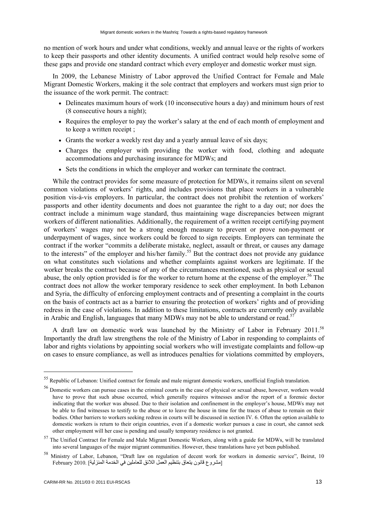no mention of work hours and under what conditions, weekly and annual leave or the rights of workers to keep their passports and other identity documents. A unified contract would help resolve some of these gaps and provide one standard contract which every employer and domestic worker must sign.

In 2009, the Lebanese Ministry of Labor approved the Unified Contract for Female and Male Migrant Domestic Workers, making it the sole contract that employers and workers must sign prior to the issuance of the work permit. The contract:

- Delineates maximum hours of work (10 inconsecutive hours a day) and minimum hours of rest (8 consecutive hours a night);
- Requires the employer to pay the worker's salary at the end of each month of employment and to keep a written receipt ;
- Grants the worker a weekly rest day and a yearly annual leave of six days;
- Charges the employer with providing the worker with food, clothing and adequate accommodations and purchasing insurance for MDWs; and
- Sets the conditions in which the employer and worker can terminate the contract.

While the contract provides for some measure of protection for MDWs, it remains silent on several common violations of workers' rights, and includes provisions that place workers in a vulnerable position vis-à-vis employers. In particular, the contract does not prohibit the retention of workers' passports and other identity documents and does not guarantee the right to a day out; nor does the contract include a minimum wage standard, thus maintaining wage discrepancies between migrant workers of different nationalities. Additionally, the requirement of a written receipt certifying payment of workers' wages may not be a strong enough measure to prevent or prove non-payment or underpayment of wages, since workers could be forced to sign receipts. Employers can terminate the contract if the worker "commits a deliberate mistake, neglect, assault or threat, or causes any damage to the interests" of the employer and his/her family.<sup>55</sup> But the contract does not provide any guidance on what constitutes such violations and whether complaints against workers are legitimate. If the worker breaks the contract because of any of the circumstances mentioned, such as physical or sexual abuse, the only option provided is for the worker to return home at the expense of the employer.<sup>56</sup> The contract does not allow the worker temporary residence to seek other employment. In both Lebanon and Syria, the difficulty of enforcing employment contracts and of presenting a complaint in the courts on the basis of contracts act as a barrier to ensuring the protection of workers' rights and of providing redress in the case of violations. In addition to these limitations, contracts are currently only available in Arabic and English, languages that many MDWs may not be able to understand or read.<sup>57</sup>

A draft law on domestic work was launched by the Ministry of Labor in February 2011.<sup>58</sup> Importantly the draft law strengthens the role of the Ministry of Labor in responding to complaints of labor and rights violations by appointing social workers who will investigate complaints and follow-up on cases to ensure compliance, as well as introduces penalties for violations committed by employers,

<sup>55</sup> Republic of Lebanon: Unified contract for female and male migrant domestic workers, unofficial English translation.

<sup>&</sup>lt;sup>56</sup> Domestic workers can pursue cases in the criminal courts in the case of physical or sexual abuse, however, workers would have to prove that such abuse occurred, which generally requires witnesses and/or the report of a forensic doctor indicating that the worker was abused. Due to their isolation and confinement in the employer's house, MDWs may not be able to find witnesses to testify to the abuse or to leave the house in time for the traces of abuse to remain on their bodies. Other barriers to workers seeking redress in courts will be discussed in section IV. 6. Often the option available to domestic workers is return to their origin countries, even if a domestic worker pursues a case in court, she cannot seek other employment will her case is pending and usually temporary residence is not granted.

<sup>&</sup>lt;sup>57</sup> The Unified Contract for Female and Male Migrant Domestic Workers, along with a guide for MDWs, will be translated into several languages of the major migrant communities. However, these translations have yet been published.

<sup>58</sup> Ministry of Labor, Lebanon, "Draft law on regulation of decent work for workers in domestic service", Beirut, 10 [مشروع قانون يتعاق بتنظيم العمل الالئق للعاملين في الخدمة المنزلية] 2010. February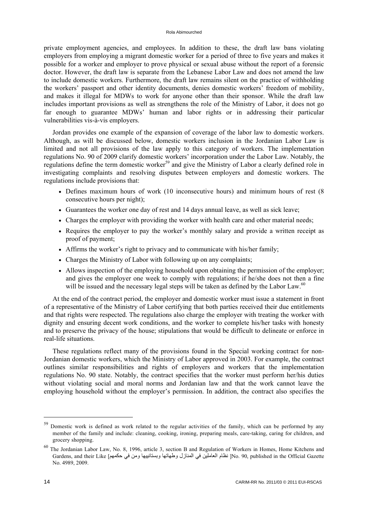private employment agencies, and employees. In addition to these, the draft law bans violating employers from employing a migrant domestic worker for a period of three to five years and makes it possible for a worker and employer to prove physical or sexual abuse without the report of a forensic doctor. However, the draft law is separate from the Lebanese Labor Law and does not amend the law to include domestic workers. Furthermore, the draft law remains silent on the practice of withholding the workers' passport and other identity documents, denies domestic workers' freedom of mobility, and makes it illegal for MDWs to work for anyone other than their sponsor. While the draft law includes important provisions as well as strengthens the role of the Ministry of Labor, it does not go far enough to guarantee MDWs' human and labor rights or in addressing their particular vulnerabilities vis-à-vis employers.

Jordan provides one example of the expansion of coverage of the labor law to domestic workers. Although, as will be discussed below, domestic workers inclusion in the Jordanian Labor Law is limited and not all provisions of the law apply to this category of workers. The implementation regulations No. 90 of 2009 clarify domestic workers' incorporation under the Labor Law. Notably, the regulations define the term domestic worker<sup>59</sup> and give the Ministry of Labor a clearly defined role in investigating complaints and resolving disputes between employers and domestic workers. The regulations include provisions that:

- Defines maximum hours of work (10 inconsecutive hours) and minimum hours of rest (8 consecutive hours per night);
- Guarantees the worker one day of rest and 14 days annual leave, as well as sick leave;
- Charges the employer with providing the worker with health care and other material needs;
- Requires the employer to pay the worker's monthly salary and provide a written receipt as proof of payment;
- Affirms the worker's right to privacy and to communicate with his/her family;
- Charges the Ministry of Labor with following up on any complaints;
- Allows inspection of the employing household upon obtaining the permission of the employer; and gives the employer one week to comply with regulations; if he/she does not then a fine will be issued and the necessary legal steps will be taken as defined by the Labor Law.<sup>60</sup>

At the end of the contract period, the employer and domestic worker must issue a statement in front of a representative of the Ministry of Labor certifying that both parties received their due entitlements and that rights were respected. The regulations also charge the employer with treating the worker with dignity and ensuring decent work conditions, and the worker to complete his/her tasks with honesty and to preserve the privacy of the house; stipulations that would be difficult to delineate or enforce in real-life situations.

These regulations reflect many of the provisions found in the Special working contract for non-Jordanian domestic workers, which the Ministry of Labor approved in 2003. For example, the contract outlines similar responsibilities and rights of employers and workers that the implementation regulations No. 90 state. Notably, the contract specifies that the worker must perform her/his duties without violating social and moral norms and Jordanian law and that the work cannot leave the employing household without the employer's permission. In addition, the contract also specifies the

<sup>&</sup>lt;sup>59</sup> Domestic work is defined as work related to the regular activities of the family, which can be performed by any member of the family and include: cleaning, cooking, ironing, preparing meals, care-taking, caring for children, and grocery shopping.

<sup>60</sup> The Jordanian Labor Law, No. 8, 1996, article 3, section B and Regulation of Workers in Homes, Home Kitchens and Gardens, and their Like [حكمھم في ومن وبستانييھا وطھاتھا المنازل في العاملين نظام[ No. 90, published in the Official Gazette No. 4989, 2009.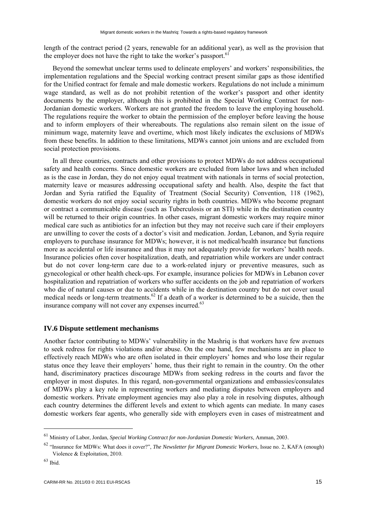<span id="page-19-0"></span>length of the contract period (2 years, renewable for an additional year), as well as the provision that the employer does not have the right to take the worker's passport.<sup>61</sup>

Beyond the somewhat unclear terms used to delineate employers' and workers' responsibilities, the implementation regulations and the Special working contract present similar gaps as those identified for the Unified contract for female and male domestic workers. Regulations do not include a minimum wage standard, as well as do not prohibit retention of the worker's passport and other identity documents by the employer, although this is prohibited in the Special Working Contract for non-Jordanian domestic workers. Workers are not granted the freedom to leave the employing household. The regulations require the worker to obtain the permission of the employer before leaving the house and to inform employers of their whereabouts. The regulations also remain silent on the issue of minimum wage, maternity leave and overtime, which most likely indicates the exclusions of MDWs from these benefits. In addition to these limitations, MDWs cannot join unions and are excluded from social protection provisions.

In all three countries, contracts and other provisions to protect MDWs do not address occupational safety and health concerns. Since domestic workers are excluded from labor laws and when included as is the case in Jordan, they do not enjoy equal treatment with nationals in terms of social protection, maternity leave or measures addressing occupational safety and health. Also, despite the fact that Jordan and Syria ratified the Equality of Treatment (Social Security) Convention, 118 (1962), domestic workers do not enjoy social security rights in both countries. MDWs who become pregnant or contract a communicable disease (such as Tuberculosis or an STI) while in the destination country will be returned to their origin countries. In other cases, migrant domestic workers may require minor medical care such as antibiotics for an infection but they may not receive such care if their employers are unwilling to cover the costs of a doctor's visit and medication. Jordan, Lebanon, and Syria require employers to purchase insurance for MDWs; however, it is not medical/health insurance but functions more as accidental or life insurance and thus it may not adequately provide for workers' health needs. Insurance policies often cover hospitalization, death, and repatriation while workers are under contract but do not cover long-term care due to a work-related injury or preventive measures, such as gynecological or other health check-ups. For example, insurance policies for MDWs in Lebanon cover hospitalization and repatriation of workers who suffer accidents on the job and repatriation of workers who die of natural causes or due to accidents while in the destination country but do not cover usual medical needs or long-term treatments.<sup>62</sup> If a death of a worker is determined to be a suicide, then the insurance company will not cover any expenses incurred.<sup>63</sup>

#### **IV.6 Dispute settlement mechanisms**

Another factor contributing to MDWs' vulnerability in the Mashriq is that workers have few avenues to seek redress for rights violations and/or abuse. On the one hand, few mechanisms are in place to effectively reach MDWs who are often isolated in their employers' homes and who lose their regular status once they leave their employers' home, thus their right to remain in the country. On the other hand, discriminatory practices discourage MDWs from seeking redress in the courts and favor the employer in most disputes. In this regard, non-governmental organizations and embassies/consulates of MDWs play a key role in representing workers and mediating disputes between employers and domestic workers. Private employment agencies may also play a role in resolving disputes, although each country determines the different levels and extent to which agents can mediate. In many cases domestic workers fear agents, who generally side with employers even in cases of mistreatment and

<sup>61</sup> Ministry of Labor, Jordan, *Special Working Contract for non-Jordanian Domestic Workers*, Amman, 2003.

<sup>62 &</sup>quot;Insurance for MDWs: What does it cover?", *The Newsletter for Migrant Domestic Workers*, Issue no. 2, KAFA (enough) Violence & Exploitation, 2010.

<sup>63</sup> Ibid.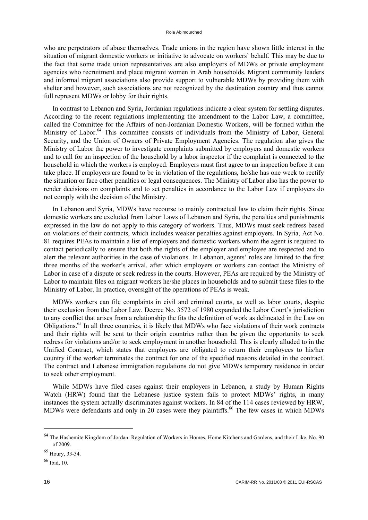who are perpetrators of abuse themselves. Trade unions in the region have shown little interest in the situation of migrant domestic workers or initiative to advocate on workers' behalf. This may be due to the fact that some trade union representatives are also employers of MDWs or private employment agencies who recruitment and place migrant women in Arab households. Migrant community leaders and informal migrant associations also provide support to vulnerable MDWs by providing them with shelter and however, such associations are not recognized by the destination country and thus cannot full represent MDWs or lobby for their rights.

In contrast to Lebanon and Syria, Jordanian regulations indicate a clear system for settling disputes. According to the recent regulations implementing the amendment to the Labor Law, a committee, called the Committee for the Affairs of non-Jordanian Domestic Workers, will be formed within the Ministry of Labor.<sup>64</sup> This committee consists of individuals from the Ministry of Labor, General Security, and the Union of Owners of Private Employment Agencies. The regulation also gives the Ministry of Labor the power to investigate complaints submitted by employers and domestic workers and to call for an inspection of the household by a labor inspector if the complaint is connected to the household in which the workers is employed. Employers must first agree to an inspection before it can take place. If employers are found to be in violation of the regulations, he/she has one week to rectify the situation or face other penalties or legal consequences. The Ministry of Labor also has the power to render decisions on complaints and to set penalties in accordance to the Labor Law if employers do not comply with the decision of the Ministry.

In Lebanon and Syria, MDWs have recourse to mainly contractual law to claim their rights. Since domestic workers are excluded from Labor Laws of Lebanon and Syria, the penalties and punishments expressed in the law do not apply to this category of workers. Thus, MDWs must seek redress based on violations of their contracts, which includes weaker penalties against employers. In Syria, Act No. 81 requires PEAs to maintain a list of employers and domestic workers whom the agent is required to contact periodically to ensure that both the rights of the employer and employee are respected and to alert the relevant authorities in the case of violations. In Lebanon, agents' roles are limited to the first three months of the worker's arrival, after which employers or workers can contact the Ministry of Labor in case of a dispute or seek redress in the courts. However, PEAs are required by the Ministry of Labor to maintain files on migrant workers he/she places in households and to submit these files to the Ministry of Labor. In practice, oversight of the operations of PEAs is weak.

MDWs workers can file complaints in civil and criminal courts, as well as labor courts, despite their exclusion from the Labor Law. Decree No. 3572 of 1980 expanded the Labor Court's jurisdiction to any conflict that arises from a relationship the fits the definition of work as delineated in the Law on Obligations.65 In all three countries, it is likely that MDWs who face violations of their work contracts and their rights will be sent to their origin countries rather than be given the opportunity to seek redress for violations and/or to seek employment in another household. This is clearly alluded to in the Unified Contract, which states that employers are obligated to return their employees to his/her country if the worker terminates the contract for one of the specified reasons detailed in the contract. The contract and Lebanese immigration regulations do not give MDWs temporary residence in order to seek other employment.

While MDWs have filed cases against their employers in Lebanon, a study by Human Rights Watch (HRW) found that the Lebanese justice system fails to protect MDWs' rights, in many instances the system actually discriminates against workers. In 84 of the 114 cases reviewed by HRW, MDWs were defendants and only in 20 cases were they plaintiffs.<sup>66</sup> The few cases in which MDWs

<sup>64</sup> The Hashemite Kingdom of Jordan: Regulation of Workers in Homes, Home Kitchens and Gardens, and their Like, No. 90 of 2009.

<sup>65</sup> Houry, 33-34.

<sup>66</sup> Ibid, 10.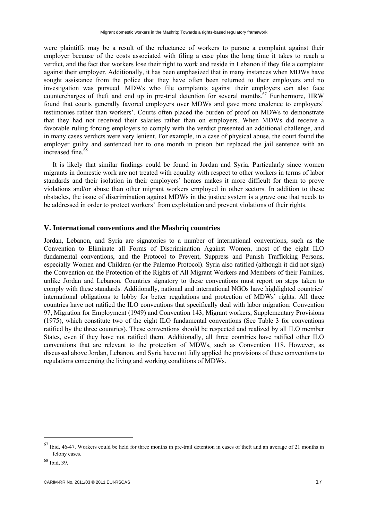<span id="page-21-0"></span>were plaintiffs may be a result of the reluctance of workers to pursue a complaint against their employer because of the costs associated with filing a case plus the long time it takes to reach a verdict, and the fact that workers lose their right to work and reside in Lebanon if they file a complaint against their employer. Additionally, it has been emphasized that in many instances when MDWs have sought assistance from the police that they have often been returned to their employers and no investigation was pursued. MDWs who file complaints against their employers can also face countercharges of theft and end up in pre-trial detention for several months.<sup>67</sup> Furthermore, HRW found that courts generally favored employers over MDWs and gave more credence to employers' testimonies rather than workers'. Courts often placed the burden of proof on MDWs to demonstrate that they had not received their salaries rather than on employers. When MDWs did receive a favorable ruling forcing employers to comply with the verdict presented an additional challenge, and in many cases verdicts were very lenient. For example, in a case of physical abuse, the court found the employer guilty and sentenced her to one month in prison but replaced the jail sentence with an increased fine.<sup>68</sup>

It is likely that similar findings could be found in Jordan and Syria. Particularly since women migrants in domestic work are not treated with equality with respect to other workers in terms of labor standards and their isolation in their employers' homes makes it more difficult for them to prove violations and/or abuse than other migrant workers employed in other sectors. In addition to these obstacles, the issue of discrimination against MDWs in the justice system is a grave one that needs to be addressed in order to protect workers' from exploitation and prevent violations of their rights.

# **V. International conventions and the Mashriq countries**

Jordan, Lebanon, and Syria are signatories to a number of international conventions, such as the Convention to Eliminate all Forms of Discrimination Against Women, most of the eight ILO fundamental conventions, and the Protocol to Prevent, Suppress and Punish Trafficking Persons, especially Women and Children (or the Palermo Protocol). Syria also ratified (although it did not sign) the Convention on the Protection of the Rights of All Migrant Workers and Members of their Families, unlike Jordan and Lebanon. Countries signatory to these conventions must report on steps taken to comply with these standards. Additionally, national and international NGOs have highlighted countries' international obligations to lobby for better regulations and protection of MDWs' rights. All three countries have not ratified the ILO conventions that specifically deal with labor migration: Convention 97, Migration for Employment (1949) and Convention 143, Migrant workers, Supplementary Provisions (1975), which constitute two of the eight ILO fundamental conventions (See Table 3 for conventions ratified by the three countries). These conventions should be respected and realized by all ILO member States, even if they have not ratified them. Additionally, all three countries have ratified other ILO conventions that are relevant to the protection of MDWs, such as Convention 118. However, as discussed above Jordan, Lebanon, and Syria have not fully applied the provisions of these conventions to regulations concerning the living and working conditions of MDWs.

 $67$  Ibid, 46-47. Workers could be held for three months in pre-trail detention in cases of theft and an average of 21 months in felony cases.

<sup>68</sup> Ibid, 39.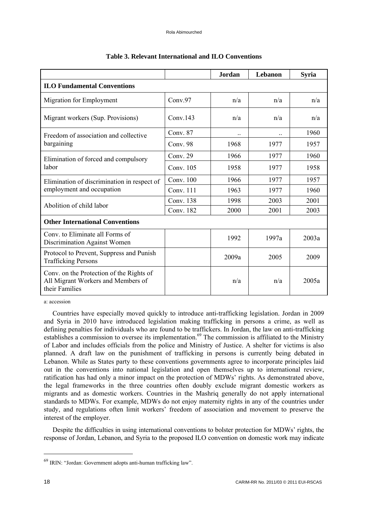|                                                                                                  |                     | Jordan | Lebanon | <b>Syria</b> |  |  |  |  |
|--------------------------------------------------------------------------------------------------|---------------------|--------|---------|--------------|--|--|--|--|
| <b>ILO Fundamental Conventions</b>                                                               |                     |        |         |              |  |  |  |  |
| Migration for Employment                                                                         | Conv.97             | n/a    | n/a     | n/a          |  |  |  |  |
| Migrant workers (Sup. Provisions)                                                                | Conv <sub>143</sub> | n/a    | n/a     | n/a          |  |  |  |  |
| Freedom of association and collective                                                            | Conv. 87            |        |         | 1960         |  |  |  |  |
| bargaining                                                                                       | Conv. $98$          | 1968   | 1977    | 1957         |  |  |  |  |
| Elimination of forced and compulsory                                                             | Conv. 29            | 1966   | 1977    | 1960         |  |  |  |  |
| labor                                                                                            | Conv. $105$         | 1958   | 1977    | 1958         |  |  |  |  |
| Elimination of discrimination in respect of                                                      | Conv. 100           | 1966   | 1977    | 1957         |  |  |  |  |
| employment and occupation                                                                        | Conv. $111$         | 1963   | 1977    | 1960         |  |  |  |  |
|                                                                                                  | Conv. 138           | 1998   | 2003    | 2001         |  |  |  |  |
| Abolition of child labor                                                                         | Conv. 182           | 2000   | 2001    | 2003         |  |  |  |  |
| <b>Other International Conventions</b>                                                           |                     |        |         |              |  |  |  |  |
| Conv. to Eliminate all Forms of<br>Discrimination Against Women                                  |                     | 1992   | 1997a   | 2003a        |  |  |  |  |
| Protocol to Prevent, Suppress and Punish<br><b>Trafficking Persons</b>                           |                     | 2009a  | 2005    | 2009         |  |  |  |  |
| Conv. on the Protection of the Rights of<br>All Migrant Workers and Members of<br>their Families |                     | n/a    | n/a     | 2005a        |  |  |  |  |

#### **Table 3. Relevant International and ILO Conventions**

a: accession

Countries have especially moved quickly to introduce anti-trafficking legislation. Jordan in 2009 and Syria in 2010 have introduced legislation making trafficking in persons a crime, as well as defining penalties for individuals who are found to be traffickers. In Jordan, the law on anti-trafficking establishes a commission to oversee its implementation.<sup>69</sup> The commission is affiliated to the Ministry of Labor and includes officials from the police and Ministry of Justice. A shelter for victims is also planned. A draft law on the punishment of trafficking in persons is currently being debated in Lebanon. While as States party to these conventions governments agree to incorporate principles laid out in the conventions into national legislation and open themselves up to international review, ratification has had only a minor impact on the protection of MDWs' rights. As demonstrated above, the legal frameworks in the three countries often doubly exclude migrant domestic workers as migrants and as domestic workers. Countries in the Mashriq generally do not apply international standards to MDWs. For example, MDWs do not enjoy maternity rights in any of the countries under study, and regulations often limit workers' freedom of association and movement to preserve the interest of the employer.

Despite the difficulties in using international conventions to bolster protection for MDWs' rights, the response of Jordan, Lebanon, and Syria to the proposed ILO convention on domestic work may indicate

<sup>69</sup> IRIN: "Jordan: Government adopts anti-human trafficking law".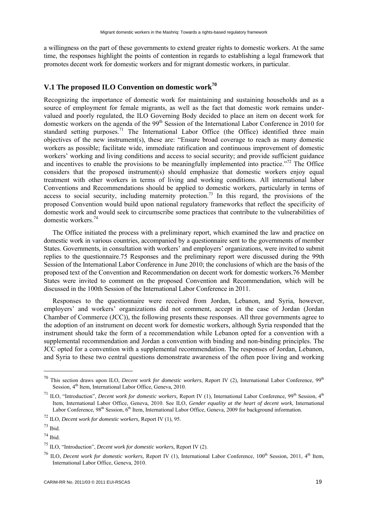<span id="page-23-0"></span>a willingness on the part of these governments to extend greater rights to domestic workers. At the same time, the responses highlight the points of contention in regards to establishing a legal framework that promotes decent work for domestic workers and for migrant domestic workers, in particular.

# **V.1 The proposed ILO Convention on domestic work70**

Recognizing the importance of domestic work for maintaining and sustaining households and as a source of employment for female migrants, as well as the fact that domestic work remains undervalued and poorly regulated, the ILO Governing Body decided to place an item on decent work for domestic workers on the agenda of the 99<sup>th</sup> Session of the International Labor Conference in 2010 for standard setting purposes.<sup>71</sup> The International Labor Office (the Office) identified three main objectives of the new instrument(s), these are: "Ensure broad coverage to reach as many domestic workers as possible; facilitate wide, immediate ratification and continuous improvement of domestic workers' working and living conditions and access to social security; and provide sufficient guidance and incentives to enable the provisions to be meaningfully implemented into practice."<sup>72</sup> The Office considers that the proposed instrument(s) should emphasize that domestic workers enjoy equal treatment with other workers in terms of living and working conditions. All international labor Conventions and Recommendations should be applied to domestic workers, particularly in terms of access to social security, including maternity protection.<sup>73</sup> In this regard, the provisions of the proposed Convention would build upon national regulatory frameworks that reflect the specificity of domestic work and would seek to circumscribe some practices that contribute to the vulnerabilities of domestic workers.74

The Office initiated the process with a preliminary report, which examined the law and practice on domestic work in various countries, accompanied by a questionnaire sent to the governments of member States. Governments, in consultation with workers' and employers' organizations, were invited to submit replies to the questionnaire.75 Responses and the preliminary report were discussed during the 99th Session of the International Labor Conference in June 2010; the conclusions of which are the basis of the proposed text of the Convention and Recommendation on decent work for domestic workers.76 Member States were invited to comment on the proposed Convention and Recommendation, which will be discussed in the 100th Session of the International Labor Conference in 2011.

Responses to the questionnaire were received from Jordan, Lebanon, and Syria, however, employers' and workers' organizations did not comment, accept in the case of Jordan (Jordan Chamber of Commerce (JCC)), the following presents these responses. All three governments agree to the adoption of an instrument on decent work for domestic workers, although Syria responded that the instrument should take the form of a recommendation while Lebanon opted for a convention with a supplemental recommendation and Jordan a convention with binding and non-binding principles. The JCC opted for a convention with a supplemental recommendation. The responses of Jordan, Lebanon, and Syria to these two central questions demonstrate awareness of the often poor living and working

<sup>&</sup>lt;sup>70</sup> This section draws upon ILO, *Decent work for domestic workers*, Report IV (2), International Labor Conference, 99<sup>th</sup> Session, 4<sup>th</sup> Item, International Labor Office, Geneva, 2010.

<sup>&</sup>lt;sup>71</sup> ILO, "Introduction", *Decent work for domestic workers*, Report IV (1), International Labor Conference, 99<sup>th</sup> Session, 4<sup>th</sup> Item, International Labor Office, Geneva, 2010. See ILO, *Gender equality at the heart of decent work*, International Labor Conference, 98<sup>th</sup> Session, 6<sup>th</sup> Item, International Labor Office, Geneva, 2009 for background information.

<sup>72</sup> ILO, *Decent work for domestic workers,* Report IV (1), 95.

 $73$  Ibid.

<sup>74</sup> Ibid.

<sup>75</sup> ILO, "Introduction", *Decent work for domestic workers,* Report IV (2).

<sup>&</sup>lt;sup>76</sup> ILO, *Decent work for domestic workers*, Report IV (1), International Labor Conference, 100<sup>th</sup> Session, 2011, 4<sup>th</sup> Item, International Labor Office, Geneva, 2010.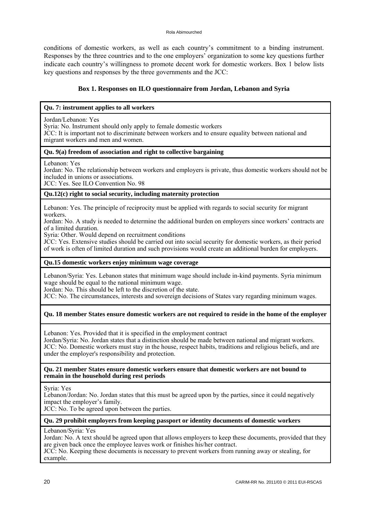conditions of domestic workers, as well as each country's commitment to a binding instrument. Responses by the three countries and to the one employers' organization to some key questions further indicate each country's willingness to promote decent work for domestic workers. Box 1 below lists key questions and responses by the three governments and the JCC:

## **Box 1. Responses on ILO questionnaire from Jordan, Lebanon and Syria**

#### **Qu. 7: instrument applies to all workers**

Jordan/Lebanon: Yes

Syria: No. Instrument should only apply to female domestic workers

JCC: It is important not to discriminate between workers and to ensure equality between national and migrant workers and men and women.

#### **Qu. 9(a) freedom of association and right to collective bargaining**

Lebanon: Yes

Jordan: No. The relationship between workers and employers is private, thus domestic workers should not be included in unions or associations.

JCC: Yes. See ILO Convention No. 98

#### **Qu.12(c) right to social security, including maternity protection**

Lebanon: Yes. The principle of reciprocity must be applied with regards to social security for migrant workers.

Jordan: No. A study is needed to determine the additional burden on employers since workers' contracts are of a limited duration.

Syria: Other. Would depend on recruitment conditions

JCC: Yes. Extensive studies should be carried out into social security for domestic workers, as their period of work is often of limited duration and such provisions would create an additional burden for employers.

#### **Qu.15 domestic workers enjoy minimum wage coverage**

Lebanon/Syria: Yes. Lebanon states that minimum wage should include in-kind payments. Syria minimum wage should be equal to the national minimum wage.

Jordan: No. This should be left to the discretion of the state.

JCC: No. The circumstances, interests and sovereign decisions of States vary regarding minimum wages.

### **Qu. 18 member States ensure domestic workers are not required to reside in the home of the employer**

Lebanon: Yes. Provided that it is specified in the employment contract

Jordan/Syria: No. Jordan states that a distinction should be made between national and migrant workers. JCC: No. Domestic workers must stay in the house, respect habits, traditions and religious beliefs, and are under the employer's responsibility and protection.

#### **Qu. 21 member States ensure domestic workers ensure that domestic workers are not bound to remain in the household during rest periods**

Syria: Yes

Lebanon/Jordan: No. Jordan states that this must be agreed upon by the parties, since it could negatively impact the employer's family.

JCC: No. To be agreed upon between the parties.

#### **Qu. 29 prohibit employers from keeping passport or identity documents of domestic workers**

Lebanon/Syria: Yes

Jordan: No. A text should be agreed upon that allows employers to keep these documents, provided that they are given back once the employee leaves work or finishes his/her contract.

JCC: No. Keeping these documents is necessary to prevent workers from running away or stealing, for example.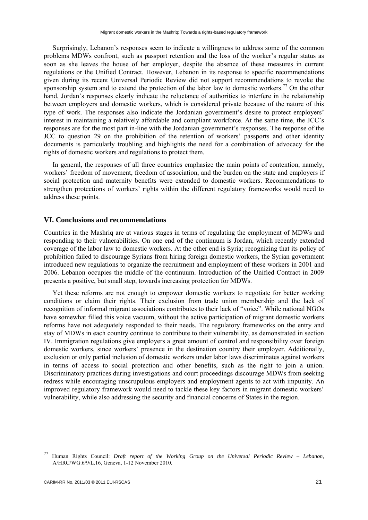<span id="page-25-0"></span>Surprisingly, Lebanon's responses seem to indicate a willingness to address some of the common problems MDWs confront, such as passport retention and the loss of the worker's regular status as soon as she leaves the house of her employer, despite the absence of these measures in current regulations or the Unified Contract. However, Lebanon in its response to specific recommendations given during its recent Universal Periodic Review did not support recommendations to revoke the sponsorship system and to extend the protection of the labor law to domestic workers.<sup>77</sup> On the other hand, Jordan's responses clearly indicate the reluctance of authorities to interfere in the relationship between employers and domestic workers, which is considered private because of the nature of this type of work. The responses also indicate the Jordanian government's desire to protect employers' interest in maintaining a relatively affordable and compliant workforce. At the same time, the JCC's responses are for the most part in-line with the Jordanian government's responses. The response of the JCC to question 29 on the prohibition of the retention of workers' passports and other identity documents is particularly troubling and highlights the need for a combination of advocacy for the rights of domestic workers and regulations to protect them.

In general, the responses of all three countries emphasize the main points of contention, namely, workers' freedom of movement, freedom of association, and the burden on the state and employers if social protection and maternity benefits were extended to domestic workers. Recommendations to strengthen protections of workers' rights within the different regulatory frameworks would need to address these points.

#### **VI. Conclusions and recommendations**

Countries in the Mashriq are at various stages in terms of regulating the employment of MDWs and responding to their vulnerabilities. On one end of the continuum is Jordan, which recently extended coverage of the labor law to domestic workers. At the other end is Syria; recognizing that its policy of prohibition failed to discourage Syrians from hiring foreign domestic workers, the Syrian government introduced new regulations to organize the recruitment and employment of these workers in 2001 and 2006. Lebanon occupies the middle of the continuum. Introduction of the Unified Contract in 2009 presents a positive, but small step, towards increasing protection for MDWs.

Yet these reforms are not enough to empower domestic workers to negotiate for better working conditions or claim their rights. Their exclusion from trade union membership and the lack of recognition of informal migrant associations contributes to their lack of "voice". While national NGOs have somewhat filled this voice vacuum, without the active participation of migrant domestic workers reforms have not adequately responded to their needs. The regulatory frameworks on the entry and stay of MDWs in each country continue to contribute to their vulnerability, as demonstrated in section IV. Immigration regulations give employers a great amount of control and responsibility over foreign domestic workers, since workers' presence in the destination country their employer. Additionally, exclusion or only partial inclusion of domestic workers under labor laws discriminates against workers in terms of access to social protection and other benefits, such as the right to join a union. Discriminatory practices during investigations and court proceedings discourage MDWs from seeking redress while encouraging unscrupulous employers and employment agents to act with impunity. An improved regulatory framework would need to tackle these key factors in migrant domestic workers' vulnerability, while also addressing the security and financial concerns of States in the region.

<sup>77</sup> Human Rights Council: *Draft report of the Working Group on the Universal Periodic Review – Lebanon*, A/HRC/WG.6/9/L.16, Geneva, 1-12 November 2010.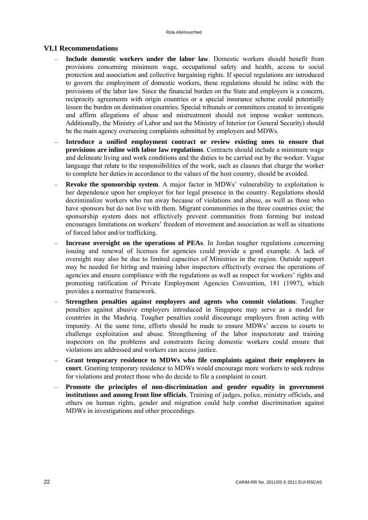# <span id="page-26-0"></span>**VI.1 Recommendations**

- **Include domestic workers under the labor law**. Domestic workers should benefit from provisions concerning minimum wage, occupational safety and health, access to social protection and association and collective bargaining rights. If special regulations are introduced to govern the employment of domestic workers, these regulations should be inline with the provisions of the labor law. Since the financial burden on the State and employers is a concern, reciprocity agreements with origin countries or a special insurance scheme could potentially lessen the burden on destination countries. Special tribunals or committees created to investigate and affirm allegations of abuse and mistreatment should not impose weaker sentences. Additionally, the Ministry of Labor and not the Ministry of Interior (or General Security) should be the main agency overseeing complaints submitted by employers and MDWs.
- **Introduce a unified employment contract or review existing ones to ensure that provisions are inline with labor law regulations**. Contracts should include a minimum wage and delineate living and work conditions and the duties to be carried out by the worker. Vague language that relate to the responsibilities of the work, such as clauses that charge the worker to complete her duties in accordance to the values of the host country, should be avoided.
- **Revoke the sponsorship system**. A major factor in MDWs' vulnerability to exploitation is her dependence upon her employer for her legal presence in the country. Regulations should decriminalize workers who run away because of violations and abuse, as well as those who have sponsors but do not live with them. Migrant communities in the three countries exist; the sponsorship system does not effectively prevent communities from forming but instead encourages limitations on workers' freedom of movement and association as well as situations of forced labor and/or trafficking.
- **Increase oversight on the operations of PEAs**. In Jordan tougher regulations concerning issuing and renewal of licenses for agencies could provide a good example. A lack of oversight may also be due to limited capacities of Ministries in the region. Outside support may be needed for hiring and training labor inspectors effectively oversee the operations of agencies and ensure compliance with the regulations as well as respect for workers' rights and promoting ratification of Private Employment Agencies Convention, 181 (1997), which provides a normative framework.
- **Strengthen penalties against employers and agents who commit violations**. Tougher penalties against abusive employers introduced in Singapore may serve as a model for countries in the Mashriq. Tougher penalties could discourage employers from acting with impunity. At the same time, efforts should be made to ensure MDWs' access to courts to challenge exploitation and abuse. Strengthening of the labor inspectorate and training inspectors on the problems and constraints facing domestic workers could ensure that violations are addressed and workers can access justice.
- **Grant temporary residence to MDWs who file complaints against their employers in court**. Granting temporary residence to MDWs would encourage more workers to seek redress for violations and protect those who do decide to file a complaint in court.
- **Promote the principles of non-discrimination and gender equality in government institutions and among front line officials**. Training of judges, police, ministry officials, and others on human rights, gender and migration could help combat discrimination against MDWs in investigations and other proceedings.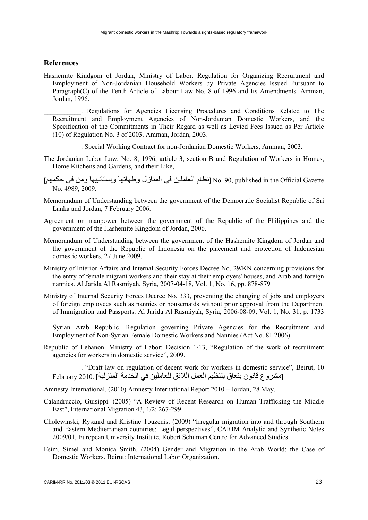#### <span id="page-27-0"></span>**References**

Hashemite Kindgom of Jordan, Ministry of Labor. Regulation for Organizing Recruitment and Employment of Non-Jordanian Household Workers by Private Agencies Issued Pursuant to Paragraph(C) of the Tenth Article of Labour Law No. 8 of 1996 and Its Amendments. Amman, Jordan, 1996.

\_\_\_\_\_\_\_\_\_\_\_. Regulations for Agencies Licensing Procedures and Conditions Related to The Recruitment and Employment Agencies of Non-Jordanian Domestic Workers, and the Specification of the Commitments in Their Regard as well as Levied Fees Issued as Per Article (10) of Regulation No. 3 of 2003. Amman, Jordan, 2003.

- \_\_\_\_\_\_\_\_\_\_\_. Special Working Contract for non-Jordanian Domestic Workers, Amman, 2003.
- The Jordanian Labor Law, No. 8, 1996, article 3, section B and Regulation of Workers in Homes, Home Kitchens and Gardens, and their Like,
- Gazette Official the in published 90, .No] نظام العاملين في المنازل وطھاتھا وبستانييھا ومن في حكمھم] No. 4989, 2009.
- Memorandum of Understanding between the government of the Democratic Socialist Republic of Sri Lanka and Jordan, 7 February 2006.
- Agreement on manpower between the government of the Republic of the Philippines and the government of the Hashemite Kingdom of Jordan, 2006.
- Memorandum of Understanding between the government of the Hashemite Kingdom of Jordan and the government of the Republic of Indonesia on the placement and protection of Indonesian domestic workers, 27 June 2009.
- Ministry of Interior Affairs and Internal Security Forces Decree No. 29/KN concerning provisions for the entry of female migrant workers and their stay at their employers' houses, and Arab and foreign nannies. Al Jarida Al Rasmiyah, Syria, 2007-04-18, Vol. 1, No. 16, pp. 878-879
- Ministry of Internal Security Forces Decree No. 333, preventing the changing of jobs and employers of foreign employees such as nannies or housemaids without prior approval from the Department of Immigration and Passports. Al Jarida Al Rasmiyah, Syria, 2006-08-09, Vol. 1, No. 31, p. 1733

Syrian Arab Republic. Regulation governing Private Agencies for the Recruitment and Employment of Non-Syrian Female Domestic Workers and Nannies (Act No. 81 2006).

Republic of Lebanon. Ministry of Labor: Decision 1/13, "Regulation of the work of recruitment agencies for workers in domestic service", 2009.

\_\_\_\_\_\_\_\_\_\_\_. "Draft law on regulation of decent work for workers in domestic service", Beirut, 10 [مشروع قانون يتعاق بتنظيم العمل الالئق للعاملين في الخدمة المنزلية] 2010. February

Amnesty International. (2010) Amnesty International Report 2010 – Jordan, 28 May.

- Calandruccio, Guisippi. (2005) "A Review of Recent Research on Human Trafficking the Middle East", International Migration 43, 1/2: 267-299.
- Cholewinski, Ryszard and Kristine Touzenis. (2009) "Irregular migration into and through Southern and Eastern Mediterranean countries: Legal perspectives", CARIM Analytic and Synthetic Notes 2009/01, European University Institute, Robert Schuman Centre for Advanced Studies.
- Esim, Simel and Monica Smith. (2004) Gender and Migration in the Arab World: the Case of Domestic Workers. Beirut: International Labor Organization.